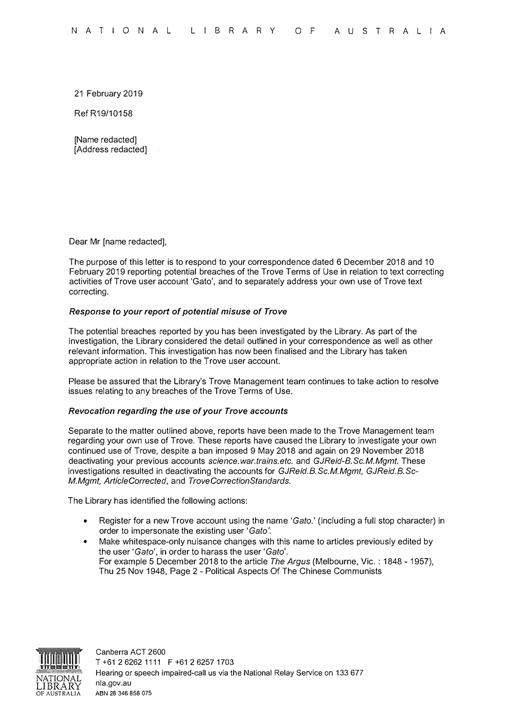21 February 2019

Ref R19/10158

[Name redacted] [Address redacted]

Dear Mr [name redacted],

The purpose of this letter is to respond to your correspondence dated 6 December 2018 and 10 February 2019 reporting potential breaches of the Trove Terms of Use in relation to text correcting activities of Trove user account 'Gato', and to separately address your own use of Trove text correcting.

## *Response to your report of potential misuse of Trove*

The potential breaches reported by you has been investigated by the Library. As part of the investigation, the Library considered the detail outlined in your correspondence as well as other relevant information. This investigation has now been finalised and the Library has taken appropriate action in relation to the Trove user account.

Please be assured that the Library's Trove Management team continues to take action to resolve issues relating to any breaches of the Trove Terms of Use.

#### *Revocation regarding the use of your Trove accounts*

Separate to the matter outlined above, reports have been made to the Trove Management team regarding your own use of Trove. These reports have caused the Library to investigate your own continued use of Trove, despite a ban imposed 9 May 2018 and again on 29 November 2018 deactivating your previous accounts *science.war.trains.etc.* and *GJReid-8.Sc.M.Mgmt.* These investigations resulted in deactivating the accounts for *GJReid.B.Sc.M.Mgmt, GJReid.B.Sc-M.Mgmt, ArticleCorrected,* and *TroveCorrectionStandards.* 

The Library has identified the following actions:

- Register for a new Trove account using the name *'Gato.'* (including a full stop character) in order to impersonate the existing user *'Gato'.*
- Make whitespace-only nuisance changes with this name to articles previously edited by the user *'Gato',* in order to harass the user *'Gato'.* For example 5 December 2018 to the article *The Argus* (Melbourne, Vic. : 1848 - 1957), Thu 25 Nov 1948, Page 2 - Political Aspects Of The Chinese Communists